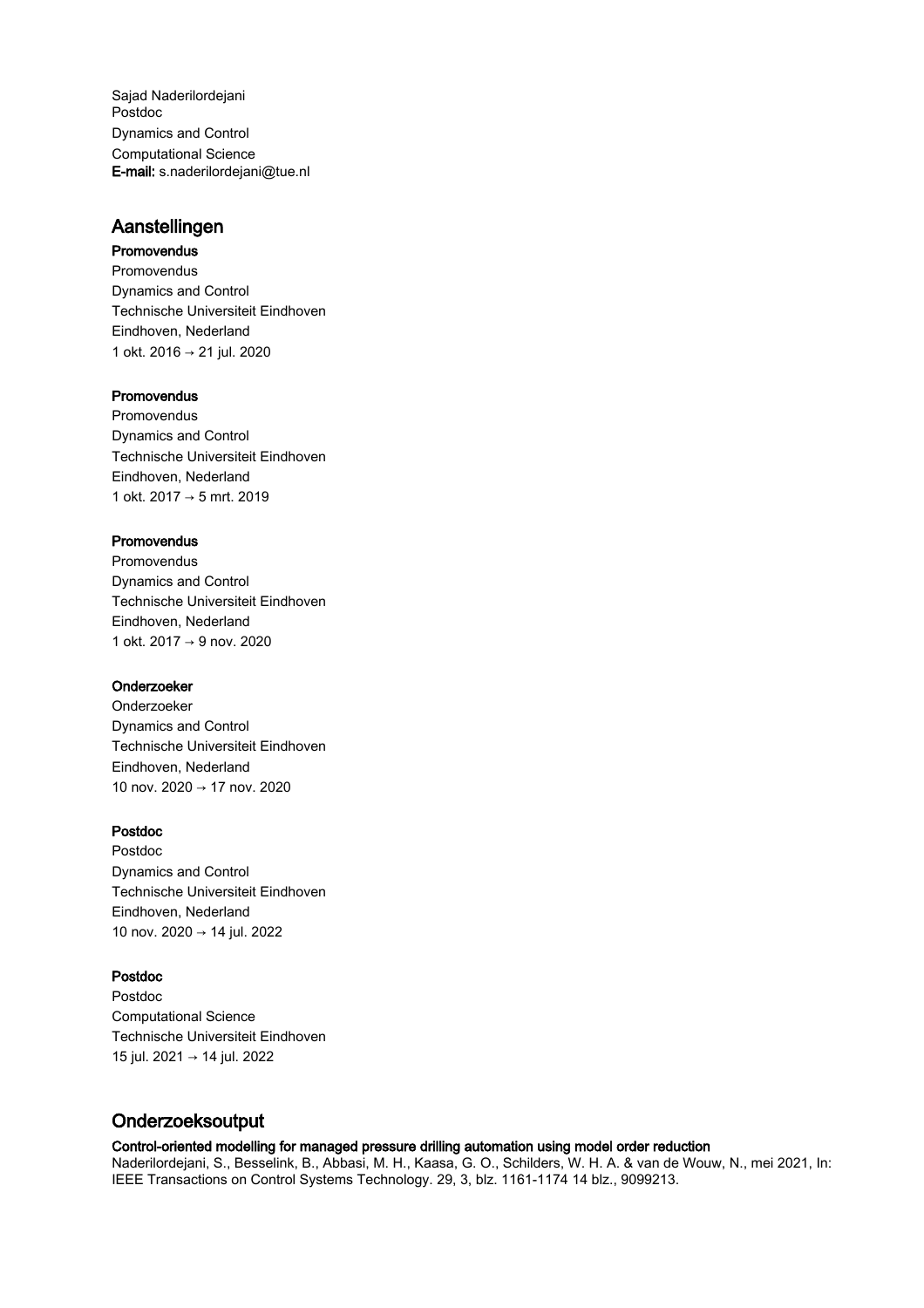Sajad Naderilordejani Postdoc Dynamics and Control Computational Science E-mail: s.naderilordejani@tue.nl

## Aanstellingen

## Promovendus

Promovendus Dynamics and Control Technische Universiteit Eindhoven Eindhoven, Nederland 1 okt. 2016 → 21 jul. 2020

## **Promovendus**

Promovendus Dynamics and Control Technische Universiteit Eindhoven Eindhoven, Nederland 1 okt. 2017 → 5 mrt. 2019

## **Promovendus**

Promovendus Dynamics and Control Technische Universiteit Eindhoven Eindhoven, Nederland 1 okt. 2017 → 9 nov. 2020

### Onderzoeker

Onderzoeker Dynamics and Control Technische Universiteit Eindhoven Eindhoven, Nederland 10 nov. 2020 → 17 nov. 2020

## Postdoc

Postdoc Dynamics and Control Technische Universiteit Eindhoven Eindhoven, Nederland 10 nov. 2020 → 14 jul. 2022

## Postdoc

Postdoc Computational Science Technische Universiteit Eindhoven 15 jul. 2021 → 14 jul. 2022

# Onderzoeksoutput

## Control-oriented modelling for managed pressure drilling automation using model order reduction

Naderilordejani, S., Besselink, B., Abbasi, M. H., Kaasa, G. O., Schilders, W. H. A. & van de Wouw, N., mei 2021, In: IEEE Transactions on Control Systems Technology. 29, 3, blz. 1161-1174 14 blz., 9099213.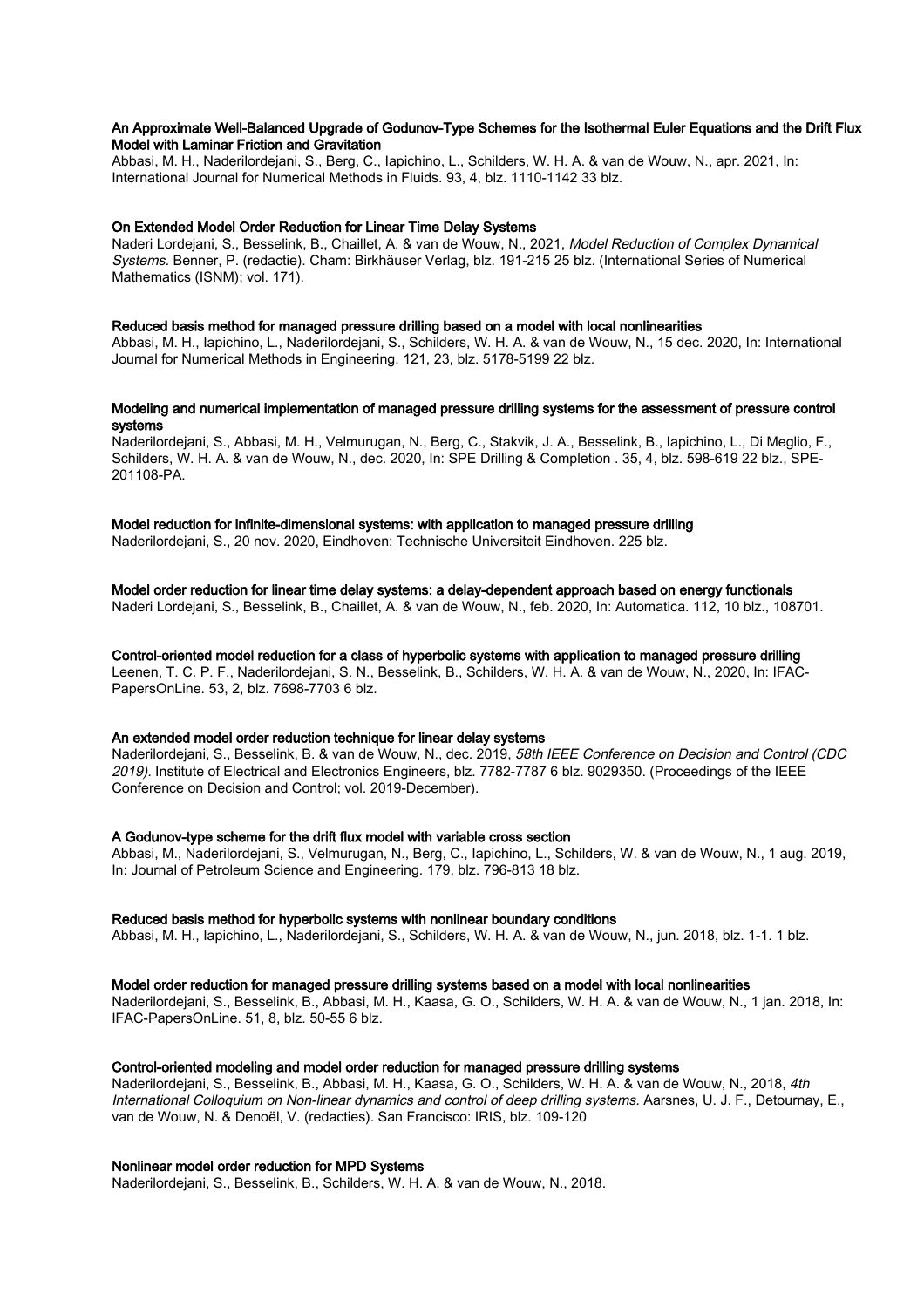#### An Approximate Well-Balanced Upgrade of Godunov-Type Schemes for the Isothermal Euler Equations and the Drift Flux Model with Laminar Friction and Gravitation

Abbasi, M. H., Naderilordejani, S., Berg, C., Iapichino, L., Schilders, W. H. A. & van de Wouw, N., apr. 2021, In: International Journal for Numerical Methods in Fluids. 93, 4, blz. 1110-1142 33 blz.

#### On Extended Model Order Reduction for Linear Time Delay Systems

Naderi Lordejani, S., Besselink, B., Chaillet, A. & van de Wouw, N., 2021, Model Reduction of Complex Dynamical Systems. Benner, P. (redactie). Cham: Birkhäuser Verlag, blz. 191-215 25 blz. (International Series of Numerical Mathematics (ISNM); vol. 171).

#### Reduced basis method for managed pressure drilling based on a model with local nonlinearities

Abbasi, M. H., Iapichino, L., Naderilordejani, S., Schilders, W. H. A. & van de Wouw, N., 15 dec. 2020, In: International Journal for Numerical Methods in Engineering. 121, 23, blz. 5178-5199 22 blz.

#### Modeling and numerical implementation of managed pressure drilling systems for the assessment of pressure control systems

Naderilordejani, S., Abbasi, M. H., Velmurugan, N., Berg, C., Stakvik, J. A., Besselink, B., Iapichino, L., Di Meglio, F., Schilders, W. H. A. & van de Wouw, N., dec. 2020, In: SPE Drilling & Completion . 35, 4, blz. 598-619 22 blz., SPE-201108-PA.

Model reduction for infinite-dimensional systems: with application to managed pressure drilling Naderilordejani, S., 20 nov. 2020, Eindhoven: Technische Universiteit Eindhoven. 225 blz.

### Model order reduction for linear time delay systems: a delay-dependent approach based on energy functionals

Naderi Lordejani, S., Besselink, B., Chaillet, A. & van de Wouw, N., feb. 2020, In: Automatica. 112, 10 blz., 108701.

#### Control-oriented model reduction for a class of hyperbolic systems with application to managed pressure drilling

Leenen, T. C. P. F., Naderilordejani, S. N., Besselink, B., Schilders, W. H. A. & van de Wouw, N., 2020, In: IFAC-PapersOnLine. 53, 2, blz. 7698-7703 6 blz.

#### An extended model order reduction technique for linear delay systems

Naderilordejani, S., Besselink, B. & van de Wouw, N., dec. 2019, 58th IEEE Conference on Decision and Control (CDC 2019). Institute of Electrical and Electronics Engineers, blz. 7782-7787 6 blz. 9029350. (Proceedings of the IEEE Conference on Decision and Control; vol. 2019-December).

#### A Godunov-type scheme for the drift flux model with variable cross section

Abbasi, M., Naderilordejani, S., Velmurugan, N., Berg, C., Iapichino, L., Schilders, W. & van de Wouw, N., 1 aug. 2019, In: Journal of Petroleum Science and Engineering. 179, blz. 796-813 18 blz.

#### Reduced basis method for hyperbolic systems with nonlinear boundary conditions

Abbasi, M. H., Iapichino, L., Naderilordejani, S., Schilders, W. H. A. & van de Wouw, N., jun. 2018, blz. 1-1. 1 blz.

#### Model order reduction for managed pressure drilling systems based on a model with local nonlinearities

Naderilordejani, S., Besselink, B., Abbasi, M. H., Kaasa, G. O., Schilders, W. H. A. & van de Wouw, N., 1 jan. 2018, In: IFAC-PapersOnLine. 51, 8, blz. 50-55 6 blz.

#### Control-oriented modeling and model order reduction for managed pressure drilling systems

Naderilordejani, S., Besselink, B., Abbasi, M. H., Kaasa, G. O., Schilders, W. H. A. & van de Wouw, N., 2018, 4th International Colloquium on Non-linear dynamics and control of deep drilling systems. Aarsnes, U. J. F., Detournay, E., van de Wouw, N. & Denoël, V. (redacties). San Francisco: IRIS, blz. 109-120

#### Nonlinear model order reduction for MPD Systems

Naderilordejani, S., Besselink, B., Schilders, W. H. A. & van de Wouw, N., 2018.